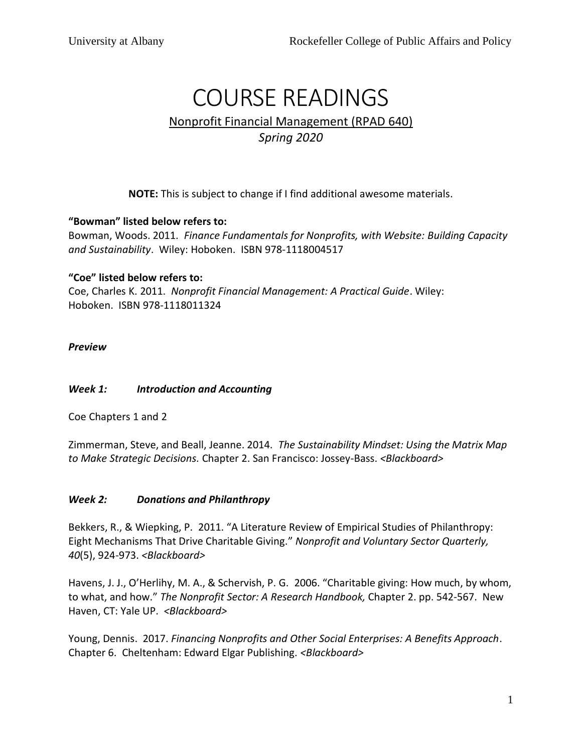# COURSE READINGS Nonprofit Financial Management (RPAD 640) *Spring 2020*

**NOTE:** This is subject to change if I find additional awesome materials.

## **"Bowman" listed below refers to:**

Bowman, Woods. 2011. *Finance Fundamentals for Nonprofits, with Website: Building Capacity and Sustainability*. Wiley: Hoboken. ISBN 978-1118004517

## **"Coe" listed below refers to:**

Coe, Charles K. 2011. *Nonprofit Financial Management: A Practical Guide*. Wiley: Hoboken. ISBN 978-1118011324

*Preview* 

## *Week 1: Introduction and Accounting*

Coe Chapters 1 and 2

Zimmerman, Steve, and Beall, Jeanne. 2014. *The Sustainability Mindset: Using the Matrix Map to Make Strategic Decisions.* Chapter 2. San Francisco: Jossey-Bass. *<Blackboard>*

#### *Week 2: Donations and Philanthropy*

Bekkers, R., & Wiepking, P. 2011. "A Literature Review of Empirical Studies of Philanthropy: Eight Mechanisms That Drive Charitable Giving." *Nonprofit and Voluntary Sector Quarterly, 40*(5), 924-973. *<Blackboard>*

Havens, J. J., O'Herlihy, M. A., & Schervish, P. G. 2006. "Charitable giving: How much, by whom, to what, and how." *The Nonprofit Sector: A Research Handbook,* Chapter 2. pp. 542-567. New Haven, CT: Yale UP. *<Blackboard>*

Young, Dennis. 2017. *Financing Nonprofits and Other Social Enterprises: A Benefits Approach*. Chapter 6. Cheltenham: Edward Elgar Publishing. *<Blackboard>*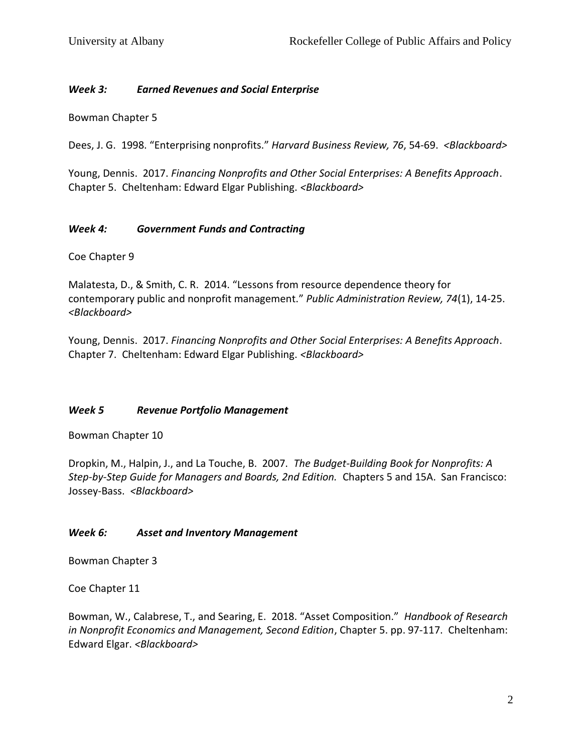### *Week 3: Earned Revenues and Social Enterprise*

Bowman Chapter 5

Dees, J. G. 1998. "Enterprising nonprofits." *Harvard Business Review, 76*, 54-69. *<Blackboard>*

Young, Dennis. 2017. *Financing Nonprofits and Other Social Enterprises: A Benefits Approach*. Chapter 5. Cheltenham: Edward Elgar Publishing. *<Blackboard>*

## *Week 4: Government Funds and Contracting*

Coe Chapter 9

Malatesta, D., & Smith, C. R. 2014. "Lessons from resource dependence theory for contemporary public and nonprofit management." *Public Administration Review, 74*(1), 14-25. *<Blackboard>*

Young, Dennis. 2017. *Financing Nonprofits and Other Social Enterprises: A Benefits Approach*. Chapter 7. Cheltenham: Edward Elgar Publishing. *<Blackboard>*

#### *Week 5 Revenue Portfolio Management*

Bowman Chapter 10

Dropkin, M., Halpin, J., and La Touche, B. 2007. *The Budget-Building Book for Nonprofits: A Step-by-Step Guide for Managers and Boards, 2nd Edition.* Chapters 5 and 15A. San Francisco: Jossey-Bass. *<Blackboard>*

## *Week 6: Asset and Inventory Management*

Bowman Chapter 3

Coe Chapter 11

Bowman, W., Calabrese, T., and Searing, E. 2018. "Asset Composition." *Handbook of Research in Nonprofit Economics and Management, Second Edition*, Chapter 5. pp. 97-117. Cheltenham: Edward Elgar. *<Blackboard>*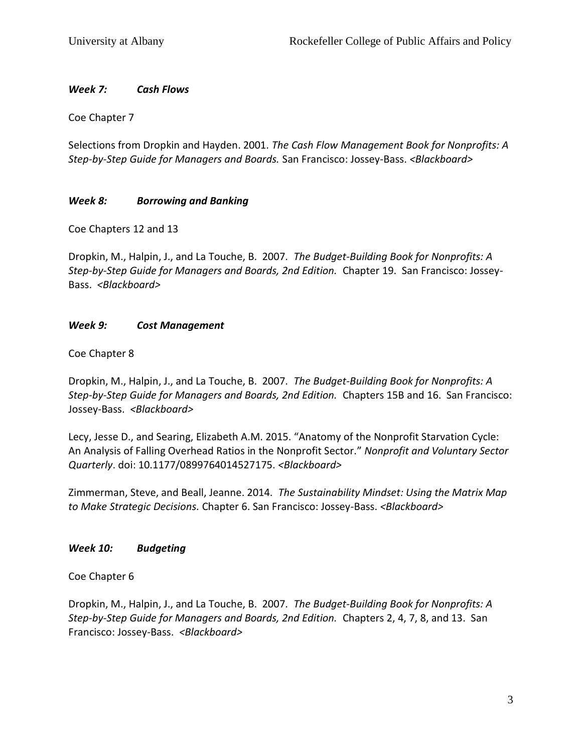## *Week 7: Cash Flows*

Coe Chapter 7

Selections from Dropkin and Hayden. 2001. *The Cash Flow Management Book for Nonprofits: A Step-by-Step Guide for Managers and Boards.* San Francisco: Jossey-Bass. *<Blackboard>*

# *Week 8: Borrowing and Banking*

Coe Chapters 12 and 13

Dropkin, M., Halpin, J., and La Touche, B. 2007. *The Budget-Building Book for Nonprofits: A Step-by-Step Guide for Managers and Boards, 2nd Edition.* Chapter 19. San Francisco: Jossey-Bass. *<Blackboard>*

# *Week 9: Cost Management*

Coe Chapter 8

Dropkin, M., Halpin, J., and La Touche, B. 2007. *The Budget-Building Book for Nonprofits: A Step-by-Step Guide for Managers and Boards, 2nd Edition.* Chapters 15B and 16. San Francisco: Jossey-Bass. *<Blackboard>*

Lecy, Jesse D., and Searing, Elizabeth A.M. 2015. "Anatomy of the Nonprofit Starvation Cycle: An Analysis of Falling Overhead Ratios in the Nonprofit Sector." *Nonprofit and Voluntary Sector Quarterly*. doi: 10.1177/0899764014527175. *<Blackboard>*

Zimmerman, Steve, and Beall, Jeanne. 2014. *The Sustainability Mindset: Using the Matrix Map to Make Strategic Decisions.* Chapter 6. San Francisco: Jossey-Bass. *<Blackboard>*

## *Week 10: Budgeting*

Coe Chapter 6

Dropkin, M., Halpin, J., and La Touche, B. 2007. *The Budget-Building Book for Nonprofits: A Step-by-Step Guide for Managers and Boards, 2nd Edition.* Chapters 2, 4, 7, 8, and 13. San Francisco: Jossey-Bass. *<Blackboard>*